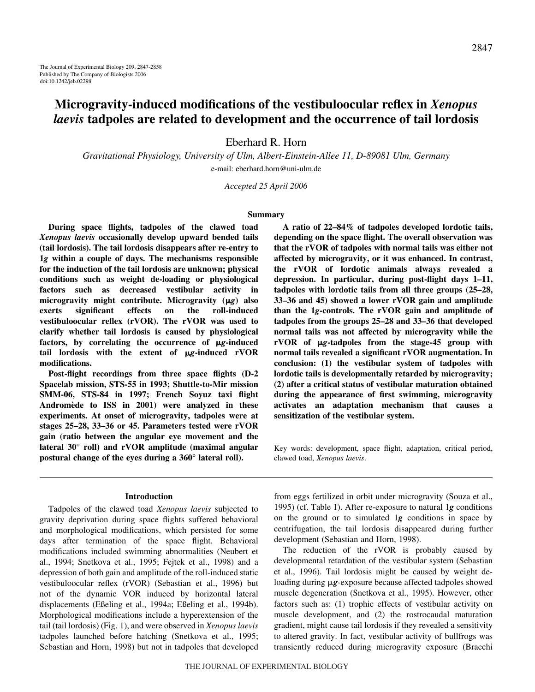# **Microgravity-induced modifications of the vestibuloocular reflex in** *Xenopus laevis* **tadpoles are related to development and the occurrence of tail lordosis**

Eberhard R. Horn

*Gravitational Physiology, University of Ulm, Albert-Einstein-Allee 11, D-89081 Ulm, Germany* e-mail: eberhard.horn@uni-ulm.de

*Accepted 25 April 2006*

### **Summary**

**During space flights, tadpoles of the clawed toad** *Xenopus laevis* **occasionally develop upward bended tails (tail lordosis). The tail lordosis disappears after re-entry to 1***g* **within a couple of days. The mechanisms responsible for the induction of the tail lordosis are unknown; physical conditions such as weight de-loading or physiological factors such as decreased vestibular activity in** microgravity might contribute. Microgravity ( $\mu$ g) also **exerts significant effects on the roll-induced vestibuloocular reflex (rVOR). The rVOR was used to clarify whether tail lordosis is caused by physiological** factors, by correlating the occurrence of  $\mu$ g-induced tail lordosis with the extent of  $\mu$ g-induced rVOR **modifications.** 

**Post-flight recordings from three space flights (D-2 Spacelab mission, STS-55 in 1993; Shuttle-to-Mir mission SMM-06, STS-84 in 1997; French Soyuz taxi flight Andromède to ISS in 2001) were analyzed in these experiments. At onset of microgravity, tadpoles were at stages 25–28, 33–36 or 45. Parameters tested were rVOR gain (ratio between the angular eye movement and the lateral 30° roll) and rVOR amplitude (maximal angular postural change of the eyes during a 360° lateral roll).** 

#### **Introduction**

Tadpoles of the clawed toad *Xenopus laevis* subjected to gravity deprivation during space flights suffered behavioral and morphological modifications, which persisted for some days after termination of the space flight. Behavioral modifications included swimming abnormalities (Neubert et al., 1994; Snetkova et al., 1995; Fejtek et al., 1998) and a depression of both gain and amplitude of the roll-induced static vestibuloocular reflex (rVOR) (Sebastian et al., 1996) but not of the dynamic VOR induced by horizontal lateral displacements (Eßeling et al., 1994a; Eßeling et al., 1994b). Morphological modifications include a hyperextension of the tail (tail lordosis) (Fig. 1), and were observed in *Xenopus laevis* tadpoles launched before hatching (Snetkova et al., 1995; Sebastian and Horn, 1998) but not in tadpoles that developed

**A ratio of 22–84% of tadpoles developed lordotic tails, depending on the space flight. The overall observation was that the rVOR of tadpoles with normal tails was either not affected by microgravity, or it was enhanced. In contrast, the rVOR of lordotic animals always revealed a depression. In particular, during post-flight days 1–11, tadpoles with lordotic tails from all three groups (25–28, 33–36 and 45) showed a lower rVOR gain and amplitude than the 1***g***-controls. The rVOR gain and amplitude of tadpoles from the groups 25–28 and 33–36 that developed normal tails was not affected by microgravity while the** rVOR of  $\mu$ g-tadpoles from the stage-45 group with **normal tails revealed a significant rVOR augmentation. In conclusion: (1) the vestibular system of tadpoles with lordotic tails is developmentally retarded by microgravity; (2) after a critical status of vestibular maturation obtained during the appearance of first swimming, microgravity activates an adaptation mechanism that causes a sensitization of the vestibular system.**

Key words: development, space flight, adaptation, critical period, clawed toad, *Xenopus laevis*.

from eggs fertilized in orbit under microgravity (Souza et al., 1995) (cf. Table 1). After re-exposure to natural 1g conditions on the ground or to simulated 1*g* conditions in space by centrifugation, the tail lordosis disappeared during further development (Sebastian and Horn, 1998).

The reduction of the rVOR is probably caused by developmental retardation of the vestibular system (Sebastian et al., 1996). Tail lordosis might be caused by weight deloading during  $\mu$ g-exposure because affected tadpoles showed muscle degeneration (Snetkova et al., 1995). However, other factors such as: (1) trophic effects of vestibular activity on muscle development, and (2) the rostrocaudal maturation gradient, might cause tail lordosis if they revealed a sensitivity to altered gravity. In fact, vestibular activity of bullfrogs was transiently reduced during microgravity exposure (Bracchi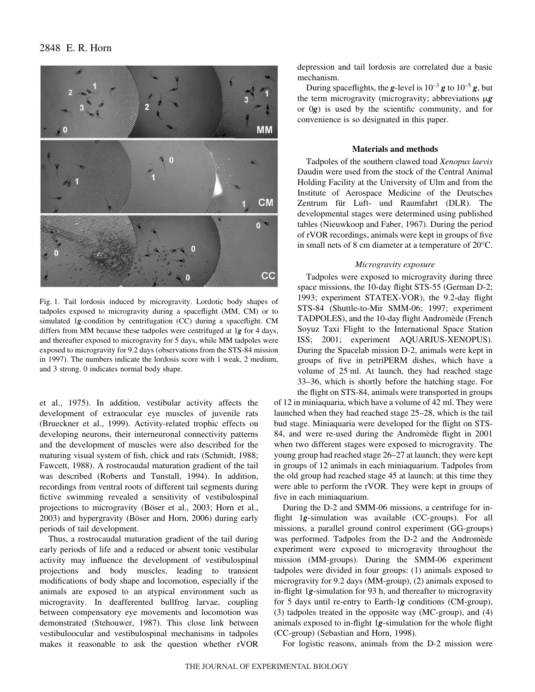

Fig. 1. Tail lordosis induced by microgravity. Lordotic body shapes of tadpoles exposed to microgravity during a spaceflight (MM, CM) or to simulated 1*g*-condition by centrifugation (CC) during a spaceflight. CM differs from MM because these tadpoles were centrifuged at 1*g* for 4 days, and thereafter exposed to microgravity for 5 days, while MM tadpoles were exposed to microgravity for 9.2 days (observations from the STS-84 mission in 1997). The numbers indicate the lordosis score with 1 weak, 2 medium, and 3 strong. 0 indicates normal body shape.

et al., 1975). In addition, vestibular activity affects the development of extraocular eye muscles of juvenile rats (Brueckner et al., 1999). Activity-related trophic effects on developing neurons, their interneuronal connectivity patterns and the development of muscles were also described for the maturing visual system of fish, chick and rats (Schmidt, 1988; Fawcett, 1988). A rostrocaudal maturation gradient of the tail was described (Roberts and Tunstall, 1994). In addition, recordings from ventral roots of different tail segments during fictive swimming revealed a sensitivity of vestibulospinal projections to microgravity (Böser et al., 2003; Horn et al., 2003) and hypergravity (Böser and Horn, 2006) during early periods of tail development.

Thus, a rostrocaudal maturation gradient of the tail during early periods of life and a reduced or absent tonic vestibular activity may influence the development of vestibulospinal projections and body muscles, leading to transient modifications of body shape and locomotion, especially if the animals are exposed to an atypical environment such as microgravity. In deafferented bullfrog larvae, coupling between compensatory eye movements and locomotion was demonstrated (Stehouwer, 1987). This close link between vestibuloocular and vestibulospinal mechanisms in tadpoles makes it reasonable to ask the question whether rVOR

depression and tail lordosis are correlated due a basic mechanism.

During spaceflights, the *g*-level is  $10^{-3}$  *g* to  $10^{-5}$  *g*, but the term microgravity (microgravity; abbreviations  $\mu$ g or 0*g*) is used by the scientific community, and for convenience is so designated in this paper.

### **Materials and methods**

Tadpoles of the southern clawed toad *Xenopus laevis* Daudin were used from the stock of the Central Animal Holding Facility at the University of Ulm and from the Institute of Aerospace Medicine of the Deutsches Zentrum für Luft- und Raumfahrt (DLR). The developmental stages were determined using published tables (Nieuwkoop and Faber, 1967). During the period of rVOR recordings, animals were kept in groups of five in small nets of 8 cm diameter at a temperature of  $20^{\circ}$ C.

#### *Microgravity exposure*

Tadpoles were exposed to microgravity during three space missions, the 10-day flight STS-55 (German D-2; 1993; experiment STATEX-VOR), the 9.2-day flight STS-84 (Shuttle-to-Mir SMM-06; 1997; experiment TADPOLES), and the 10-day flight Andromède (French Soyuz Taxi Flight to the International Space Station ISS; 2001; experiment AQUARIUS-XENOPUS). During the Spacelab mission D-2, animals were kept in groups of five in petriPERM dishes, which have a volume of 25 ml. At launch, they had reached stage 33–36, which is shortly before the hatching stage. For the flight on STS-84, animals were transported in groups

of 12 in miniaquaria, which have a volume of 42 ml. They were launched when they had reached stage 25–28, which is the tail bud stage. Miniaquaria were developed for the flight on STS-84, and were re-used during the Andromède flight in 2001 when two different stages were exposed to microgravity. The young group had reached stage 26–27 at launch; they were kept in groups of 12 animals in each miniaquarium. Tadpoles from the old group had reached stage 45 at launch; at this time they were able to perform the rVOR. They were kept in groups of five in each miniaquarium.

During the D-2 and SMM-06 missions, a centrifuge for inflight 1*g*-simulation was available (CC-groups). For all missions, a parallel ground control experiment (GG-groups) was performed. Tadpoles from the D-2 and the Andromède experiment were exposed to microgravity throughout the mission (MM-groups). During the SMM-06 experiment tadpoles were divided in four groups: (1) animals exposed to microgravity for 9.2 days (MM-group), (2) animals exposed to in-flight 1g-simulation for 93 h, and thereafter to microgravity for 5 days until re-entry to Earth-1*g* conditions (CM-group), (3) tadpoles treated in the opposite way (MC-group), and (4) animals exposed to in-flight 1*g*-simulation for the whole flight (CC-group) (Sebastian and Horn, 1998).

For logistic reasons, animals from the D-2 mission were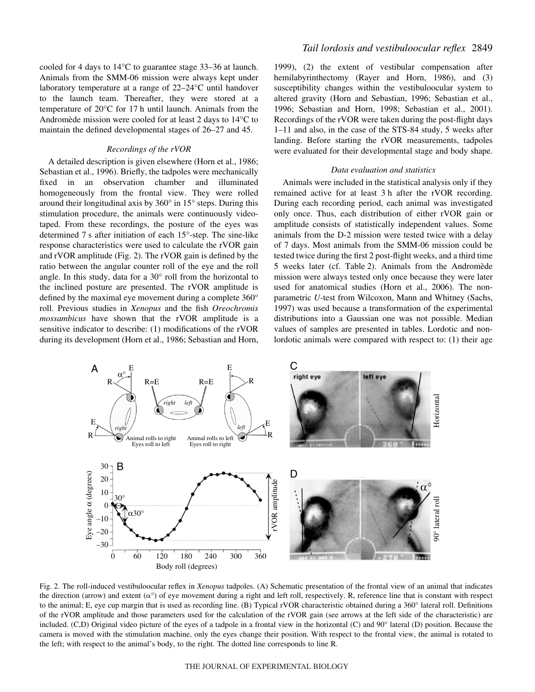cooled for 4 days to 14°C to guarantee stage 33–36 at launch. Animals from the SMM-06 mission were always kept under laboratory temperature at a range of 22–24°C until handover to the launch team. Thereafter, they were stored at a temperature of  $20^{\circ}$ C for 17 h until launch. Animals from the Andromède mission were cooled for at least 2 days to 14°C to maintain the defined developmental stages of 26–27 and 45.

### *Recordings of the rVOR*

A detailed description is given elsewhere (Horn et al., 1986; Sebastian et al., 1996). Briefly, the tadpoles were mechanically fixed in an observation chamber and illuminated homogeneously from the frontal view. They were rolled around their longitudinal axis by 360° in 15° steps. During this stimulation procedure, the animals were continuously videotaped. From these recordings, the posture of the eyes was determined 7 s after initiation of each  $15^{\circ}$ -step. The sine-like response characteristics were used to calculate the rVOR gain and rVOR amplitude (Fig. 2). The rVOR gain is defined by the ratio between the angular counter roll of the eye and the roll angle. In this study, data for a 30° roll from the horizontal to the inclined posture are presented. The rVOR amplitude is defined by the maximal eye movement during a complete 360° roll. Previous studies in *Xenopus* and the fish *Oreochromis mossambicus* have shown that the rVOR amplitude is a sensitive indicator to describe: (1) modifications of the rVOR during its development (Horn et al., 1986; Sebastian and Horn,

1999), (2) the extent of vestibular compensation after hemilabyrinthectomy (Rayer and Horn, 1986), and (3) susceptibility changes within the vestibuloocular system to altered gravity (Horn and Sebastian, 1996; Sebastian et al., 1996; Sebastian and Horn, 1998; Sebastian et al., 2001). Recordings of the rVOR were taken during the post-flight days 1–11 and also, in the case of the STS-84 study, 5 weeks after landing. Before starting the rVOR measurements, tadpoles were evaluated for their developmental stage and body shape.

### *Data evaluation and statistics*

Animals were included in the statistical analysis only if they remained active for at least 3 h after the rVOR recording. During each recording period, each animal was investigated only once. Thus, each distribution of either rVOR gain or amplitude consists of statistically independent values. Some animals from the D-2 mission were tested twice with a delay of 7 days. Most animals from the SMM-06 mission could be tested twice during the first 2 post-flight weeks, and a third time 5 weeks later (cf. Table 2). Animals from the Andromède mission were always tested only once because they were later used for anatomical studies (Horn et al., 2006). The nonparametric *U*-test from Wilcoxon, Mann and Whitney (Sachs, 1997) was used because a transformation of the experimental distributions into a Gaussian one was not possible. Median values of samples are presented in tables. Lordotic and nonlordotic animals were compared with respect to: (1) their age



Fig. 2. The roll-induced vestibuloocular reflex in *Xenopus* tadpoles. (A) Schematic presentation of the frontal view of an animal that indicates the direction (arrow) and extent  $(\alpha^{\circ})$  of eye movement during a right and left roll, respectively. R, reference line that is constant with respect to the animal; E, eye cup margin that is used as recording line. (B) Typical rVOR characteristic obtained during a 360° lateral roll. Definitions of the rVOR amplitude and those parameters used for the calculation of the rVOR gain (see arrows at the left side of the characteristic) are included. (C,D) Original video picture of the eyes of a tadpole in a frontal view in the horizontal (C) and 90° lateral (D) position. Because the camera is moved with the stimulation machine, only the eyes change their position. With respect to the frontal view, the animal is rotated to the left; with respect to the animal's body, to the right. The dotted line corresponds to line R.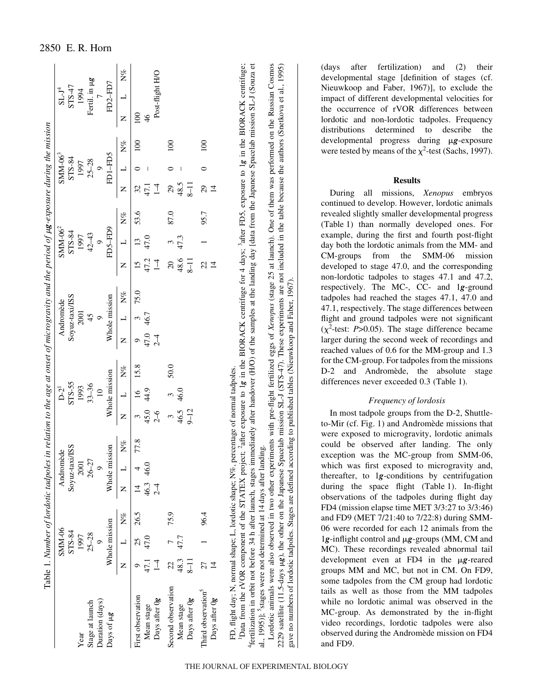|                                |                | SMM-06        |       |                | Andromède      |       |                | $D-2^1$                  |      |       | Andromède      |      |                 | $SMM-062$       |       |                | $SMM-063$                      |                  |                | $SL-J^4$             |       |
|--------------------------------|----------------|---------------|-------|----------------|----------------|-------|----------------|--------------------------|------|-------|----------------|------|-----------------|-----------------|-------|----------------|--------------------------------|------------------|----------------|----------------------|-------|
|                                |                | STS-84        |       |                | Soyuz-taxi/ISS |       |                | STS-55                   |      |       | Soyuz-taxi/ISS |      |                 | STS-84          |       |                | STS-84                         |                  |                | STS-47               |       |
| Year                           |                | 1997          |       |                | 2001           |       |                | 1993                     |      |       | 2001           |      |                 | 1997            |       |                | 1997                           |                  |                | 1994                 |       |
| Stage at launch                |                | $25 - 28$     |       |                | $26 - 27$      |       |                | $33 - 36$                |      |       | 45             |      |                 | $42 - 43$       |       |                | $25 - 28$                      |                  |                | Fertil. in $\upmu g$ |       |
| Duration (days)                |                |               |       |                | $\circ$        |       |                | $\overline{10}$          |      |       |                |      |                 | $\circ$         |       |                | $\circ$                        |                  |                |                      |       |
| Days of ug                     |                | Whole mission |       |                | Whole mission  |       |                | Whole mission            |      |       | Whole mission  |      |                 | FD5-FD9         |       |                | FD1-FD5                        |                  |                | FD2-FD7              |       |
|                                | Z              |               | $N\%$ | Z              |                | $N\%$ | Z              | $\overline{\phantom{0}}$ | N%   | Z     |                | N%   | z               | $\overline{a}$  | $N\%$ | Z              |                                | $N\%$            | z              |                      | $N\%$ |
| First observation              |                | 25            | 26.5  | $\overline{4}$ |                | 77.8  |                | $\tilde{q}$              | 15.8 |       |                | 75.0 | $\overline{15}$ | $\overline{13}$ | 53.6  | 32             |                                | $\overline{100}$ | $\overline{0}$ |                      |       |
| Mean stage                     | 47.1           | 47.0          |       | 46.3 46.0      |                |       | $45.0$<br>2-6  | 44.9                     |      | 47.0  | 46.7           |      | 47.2            | 47.0            |       | 47.1           |                                |                  | $\frac{4}{6}$  |                      |       |
| Days after Og                  | $\overline{1}$ |               |       | $\overline{C}$ |                |       |                |                          |      | $2-4$ |                |      | $\overline{1}$  |                 |       | $\overline{1}$ |                                |                  |                | Post-flight H/O      |       |
| Second observation             | 22             |               | 75.9  |                |                |       |                |                          | 50.0 |       |                |      | $\overline{20}$ | $\epsilon$      | 87.0  | 29             |                                | 100              |                |                      |       |
| Mean stage                     | 48.3           | 47.7          |       |                |                |       | $46.5$<br>9-12 | $rac{3}{46.0}$           |      |       |                |      | 48.6            | 47.3            |       | 48.5           | $\begin{array}{c} \end{array}$ |                  |                |                      |       |
| Days after Og                  | $8 - 11$       |               |       |                |                |       |                |                          |      |       |                |      | $8-11$          |                 |       | $8 - 11$       |                                |                  |                |                      |       |
| Third observation <sup>5</sup> | 27             |               | 96.4  |                |                |       |                |                          |      |       |                |      | 22              |                 | 95.7  | $^{29}$        | $\circ$                        | $\approx$        |                |                      |       |
| Days after Og                  |                |               |       |                |                |       |                |                          |      |       |                |      | $\overline{4}$  |                 |       | $\overline{4}$ |                                |                  |                |                      |       |

Data from the rVOR component of the STATEX project; <sup>2</sup>after exposure to 1g in the BIORACK centrifuge for 4 days; <sup>3</sup>after FD5, exposure to 1g in the BIORACK centrifuge; "fertilization in orbit not before 34 h after launch, stages immediately after handover (H/O) of the samples at the landing day [data from the Japanese Spacelab mission SL-J (Souza et 4fertilization in orbit not before 34·h after launch, stages immediately after handover (H/O) of the samples at the landing day [data from the Japanese Spacelab mission SL-J (Souza et 1Data from the rVOR component of the STATEX project; 2after exposure to 1*g* in the BIORACK centrifuge for 4 days; 3after FD5, exposure to 1*g* in the BIORACK centrifuge; al., 1995)]; <sup>5</sup>stages were not determined at 14 days after landing. al., 1995)]; 5stages were not determined at 14 days after landing.

Lordotic animals were also observed in two other experiments with pre-flight fertilized eggs of *Xenopus* (stage 25 at launch). One of them was performed on the Russian Cosmos 2229 satellite (11.5-days µg), the other on the Japanese Spacelab mission SL-J (STS-47). These experiments are not included in the table because the authors (Snetkova et al., 1995) Lordotic animals were also observed in two other experiments with pre-flight fertilized eggs of *Xenopus* (stage 25 at launch). One of them was performed on the Russian Cosmos *g*), the other on the Japanese Spacelab mission SL-J (STS-47). These experiments are not included in the table because the authors (Snetkova et al., 1995) gave no numbers of lordotic tadpoles. Stages are defined according to published tables (Nieuwkoop and Faber, 1967). gave no numbers of lordotic tadpoles. Stages are defined according to published tables (Nieuwkoop and Faber, 1967).  $2229$  satellite (11.5-days  $\mu$ 

(days after fertilization) and (2) their developmental stage [definition of stages (cf. Nieuwkoop and Faber, 1967)], to exclude the impact of different developmental velocities for the occurrence of rVOR differences between lordotic and non-lordotic tadpoles. Frequency distributions determined to describe the developmental progress during  $\mu$ g-exposure were tested by means of the  $\chi^2$ -test (Sachs, 1997).

# **Results**

During all missions, *Xenopus* embryos continued to develop. However, lordotic animals revealed slightly smaller developmental progress (Table 1) than normally developed ones. For example, during the first and fourth post-flight day both the lordotic animals from the MM- and CM-groups from the SMM-06 mission developed to stage 47.0, and the corresponding non-lordotic tadpoles to stages 47.1 and 47.2, respectively. The MC-, CC- and 1 *g*-ground tadpoles had reached the stages 47.1, 47.0 and 47.1, respectively. The stage differences between flight and ground tadpoles were not significant  $(\chi^2$ -test: *P*>0.05). The stage difference became larger during the second week of recordings and reached values of 0.6 for the MM-group and 1.3 for the CM-group. For tadpoles from the missions D-2 and Andromède, the absolute stage differences never exceeded 0.3 (Table 1).

# *Frequency of lordosis*

In most tadpole groups from the D-2, Shuttleto-Mir (cf. Fig. 1) and Andromède missions that were exposed to microgravity, lordotic animals could be observed after landing. The only exception was the MC-group from SMM-06, which was first exposed to microgravity and, thereafter, to 1 *g*-conditions by centrifugation during the space flight (Table 1). In-flight observations of the tadpoles during flight day FD4 (mission elapse time MET 3/3:27 to 3/3:46) and FD9 (MET 7/21:40 to 7/22:8) during SMM-06 were recorded for each 12 animals from the 1g-inflight control and  $\mu$ g-groups (MM, CM and MC). These recordings revealed abnormal tail development even at FD4 in the  $\mu$ g-reared groups MM and MC, but not in CM. On FD9, some tadpoles from the CM group had lordotic tails as well as those from the MM tadpoles while no lordotic animal was observed in the MC-group. As demonstrated by the in-flight video recordings, lordotic tadpoles were also observed during the Andromède mission on FD4 and FD9.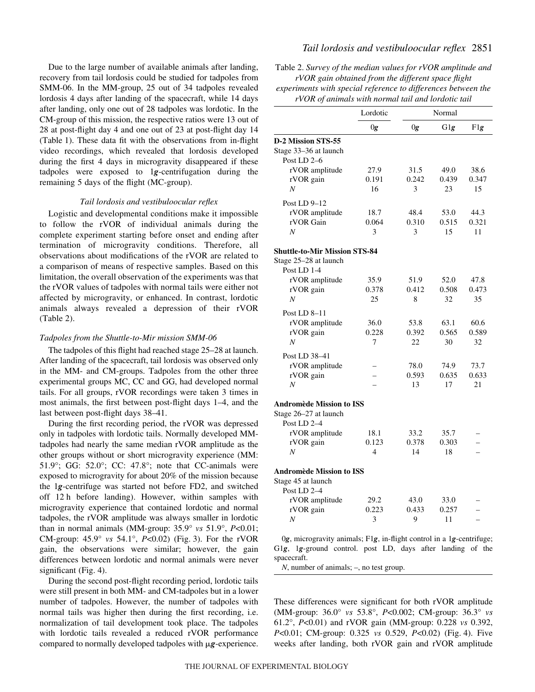Due to the large number of available animals after landing, recovery from tail lordosis could be studied for tadpoles from SMM-06. In the MM-group, 25 out of 34 tadpoles revealed lordosis 4 days after landing of the spacecraft, while 14 days after landing, only one out of 28 tadpoles was lordotic. In the CM-group of this mission, the respective ratios were 13 out of 28 at post-flight day 4 and one out of 23 at post-flight day 14 (Table 1). These data fit with the observations from in-flight video recordings, which revealed that lordosis developed during the first 4 days in microgravity disappeared if these tadpoles were exposed to 1*g*-centrifugation during the remaining 5 days of the flight (MC-group).

### *Tail lordosis and vestibuloocular reflex*

Logistic and developmental conditions make it impossible to follow the rVOR of individual animals during the complete experiment starting before onset and ending after termination of microgravity conditions. Therefore, all observations about modifications of the rVOR are related to a comparison of means of respective samples. Based on this limitation, the overall observation of the experiments was that the rVOR values of tadpoles with normal tails were either not affected by microgravity, or enhanced. In contrast, lordotic animals always revealed a depression of their rVOR  $(Table 2).$ 

### *Tadpoles from the Shuttle-to-Mir mission SMM-06*

The tadpoles of this flight had reached stage 25–28 at launch. After landing of the spacecraft, tail lordosis was observed only in the MM- and CM-groups. Tadpoles from the other three experimental groups MC, CC and GG, had developed normal tails. For all groups, rVOR recordings were taken 3 times in most animals, the first between post-flight days 1–4, and the last between post-flight days 38–41.

During the first recording period, the rVOR was depressed only in tadpoles with lordotic tails. Normally developed MMtadpoles had nearly the same median rVOR amplitude as the other groups without or short microgravity experience (MM: 51.9°; GG: 52.0°; CC: 47.8°; note that CC-animals were exposed to microgravity for about 20% of the mission because the 1*g*-centrifuge was started not before FD2, and switched off 12<sup>h</sup> before landing). However, within samples with microgravity experience that contained lordotic and normal tadpoles, the rVOR amplitude was always smaller in lordotic than in normal animals (MM-group: 35.9° *vs* 51.9°, *P*<0.01; CM-group:  $45.9^{\circ}$  *vs*  $54.1^{\circ}$ ,  $P<0.02$ ) (Fig. 3). For the rVOR gain, the observations were similar; however, the gain differences between lordotic and normal animals were never significant (Fig. 4).

During the second post-flight recording period, lordotic tails were still present in both MM- and CM-tadpoles but in a lower number of tadpoles. However, the number of tadpoles with normal tails was higher then during the first recording, i.e. normalization of tail development took place. The tadpoles with lordotic tails revealed a reduced rVOR performance compared to normally developed tadpoles with  $\mu$ g-experience.

# *Tail lordosis and vestibuloocular reflex* 2851

Table 2. *Survey of the median values for rVOR amplitude and rVOR gain obtained from the different space flight experiments with special reference to differences between the*

*rVOR of animals with normal tail and lordotic tail*

|                                                                      | Lordotic                 |       | Normal |                          |
|----------------------------------------------------------------------|--------------------------|-------|--------|--------------------------|
|                                                                      | 0g                       | 0g    | G1g    | FIg                      |
| D-2 Mission STS-55                                                   |                          |       |        |                          |
| Stage 33-36 at launch                                                |                          |       |        |                          |
| Post LD 2-6                                                          |                          |       |        |                          |
| rVOR amplitude                                                       | 27.9                     | 31.5  | 49.0   | 38.6                     |
| rVOR gain                                                            | 0.191                    | 0.242 | 0.439  | 0.347                    |
| $\boldsymbol{N}$                                                     | 16                       | 3     | 23     | 15                       |
| Post LD 9-12                                                         |                          |       |        |                          |
| rVOR amplitude                                                       | 18.7                     | 48.4  | 53.0   | 44.3                     |
| rVOR Gain                                                            | 0.064                    | 0.310 | 0.515  | 0.321                    |
| N                                                                    | 3                        | 3     | 15     | 11                       |
| <b>Shuttle-to-Mir Mission STS-84</b>                                 |                          |       |        |                          |
| Stage 25-28 at launch                                                |                          |       |        |                          |
| Post LD 1-4                                                          |                          |       |        |                          |
| rVOR amplitude                                                       | 35.9                     | 51.9  | 52.0   | 47.8                     |
| rVOR gain                                                            | 0.378                    | 0.412 | 0.508  | 0.473                    |
| N                                                                    | 25                       | 8     | 32     | 35                       |
| Post LD 8-11                                                         |                          |       |        |                          |
| rVOR amplitude                                                       | 36.0                     | 53.8  | 63.1   | 60.6                     |
| rVOR gain                                                            | 0.228                    | 0.392 | 0.565  | 0.589                    |
| $\boldsymbol{N}$                                                     | 7                        | 22    | 30     | 32                       |
|                                                                      |                          |       |        |                          |
| Post LD 38-41                                                        |                          |       |        |                          |
| rVOR amplitude                                                       |                          | 78.0  | 74.9   | 73.7                     |
| rVOR gain                                                            | $\overline{\phantom{a}}$ | 0.593 | 0.635  | 0.633                    |
| N                                                                    |                          | 13    | 17     | 21                       |
| Andromède Mission to ISS                                             |                          |       |        |                          |
| Stage 26–27 at launch                                                |                          |       |        |                          |
| Post LD 2-4                                                          |                          |       |        |                          |
| rVOR amplitude                                                       | 18.1                     | 33.2  | 35.7   |                          |
| rVOR gain                                                            | 0.123                    | 0.378 | 0.303  | $\overline{\phantom{0}}$ |
| N                                                                    | 4                        | 14    | 18     |                          |
| <b>Andromède Mission to ISS</b>                                      |                          |       |        |                          |
| Stage 45 at launch                                                   |                          |       |        |                          |
| Post LD 2-4                                                          |                          |       |        |                          |
| rVOR amplitude                                                       | 29.2                     | 43.0  | 33.0   |                          |
| rVOR gain                                                            | 0.223                    | 0.433 | 0.257  | $\overline{\phantom{0}}$ |
| N                                                                    | 3                        | 9     | 11     |                          |
| 0g, microgravity animals; F1g, in-flight control in a 1g-centrifuge; |                          |       |        |                          |

G1*g*, 1*g*-ground control. post LD, days after landing of the spacecraft.

*N*, number of animals; –, no test group.

These differences were significant for both rVOR amplitude (MM-group: 36.0° *vs* 53.8°, *P*<0.002; CM-group: 36.3° *vs* 61.2°, *P*<0.01) and rVOR gain (MM-group: 0.228 *vs* 0.392, *P*<0.01; CM-group: 0.325 *vs* 0.529, *P*<0.02) (Fig. 4). Five weeks after landing, both rVOR gain and rVOR amplitude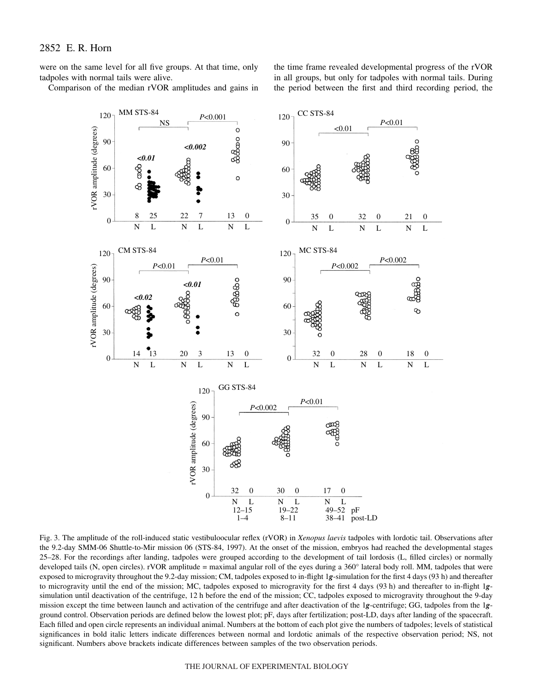were on the same level for all five groups. At that time, only tadpoles with normal tails were alive.

Comparison of the median rVOR amplitudes and gains in

the time frame revealed developmental progress of the rVOR in all groups, but only for tadpoles with normal tails. During the period between the first and third recording period, the



Fig. 3. The amplitude of the roll-induced static vestibuloocular reflex (rVOR) in *Xenopus laevis* tadpoles with lordotic tail. Observations after the 9.2-day SMM-06 Shuttle-to-Mir mission 06 (STS-84, 1997). At the onset of the mission, embryos had reached the developmental stages 25–28. For the recordings after landing, tadpoles were grouped according to the development of tail lordosis (L, filled circles) or normally developed tails (N, open circles). rVOR amplitude = maximal angular roll of the eyes during a 360° lateral body roll. MM, tadpoles that were exposed to microgravity throughout the 9.2-day mission; CM, tadpoles exposed to in-flight 1*g*-simulation for the first 4 days (93·h) and thereafter to microgravity until the end of the mission; MC, tadpoles exposed to microgravity for the first 4 days (93 h) and thereafter to in-flight 1gsimulation until deactivation of the centrifuge, 12 h before the end of the mission; CC, tadpoles exposed to microgravity throughout the 9-day mission except the time between launch and activation of the centrifuge and after deactivation of the 1*g*-centrifuge; GG, tadpoles from the 1*g*ground control. Observation periods are defined below the lowest plot; pF, days after fertilization; post-LD, days after landing of the spacecraft. Each filled and open circle represents an individual animal. Numbers at the bottom of each plot give the numbers of tadpoles; levels of statistical significances in bold italic letters indicate differences between normal and lordotic animals of the respective observation period; NS, not significant. Numbers above brackets indicate differences between samples of the two observation periods.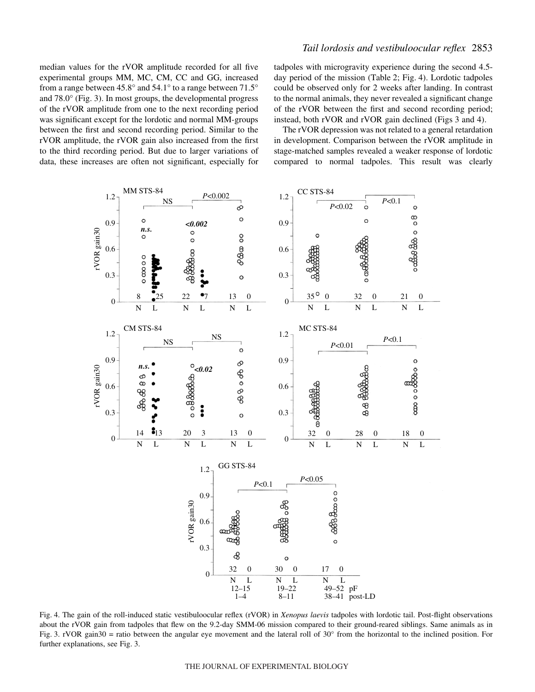median values for the rVOR amplitude recorded for all five experimental groups MM, MC, CM, CC and GG, increased from a range between 45.8° and 54.1° to a range between 71.5° and  $78.0^{\circ}$  (Fig. 3). In most groups, the developmental progress of the rVOR amplitude from one to the next recording period was significant except for the lordotic and normal MM-groups between the first and second recording period. Similar to the rVOR amplitude, the rVOR gain also increased from the first to the third recording period. But due to larger variations of data, these increases are often not significant, especially for

# *Tail lordosis and vestibuloocular reflex* 2853

tadpoles with microgravity experience during the second 4.5 day period of the mission (Table 2; Fig. 4). Lordotic tadpoles could be observed only for 2 weeks after landing. In contrast to the normal animals, they never revealed a significant change of the rVOR between the first and second recording period; instead, both rVOR and rVOR gain declined (Figs 3 and 4).

The rVOR depression was not related to a general retardation in development. Comparison between the rVOR amplitude in stage-matched samples revealed a weaker response of lordotic compared to normal tadpoles. This result was clearly



Fig. 4. The gain of the roll-induced static vestibuloocular reflex (rVOR) in *Xenopus laevis* tadpoles with lordotic tail. Post-flight observations about the rVOR gain from tadpoles that flew on the 9.2-day SMM-06 mission compared to their ground-reared siblings. Same animals as in Fig. 3. rVOR gain30 = ratio between the angular eye movement and the lateral roll of  $30^{\circ}$  from the horizontal to the inclined position. For further explanations, see Fig. 3.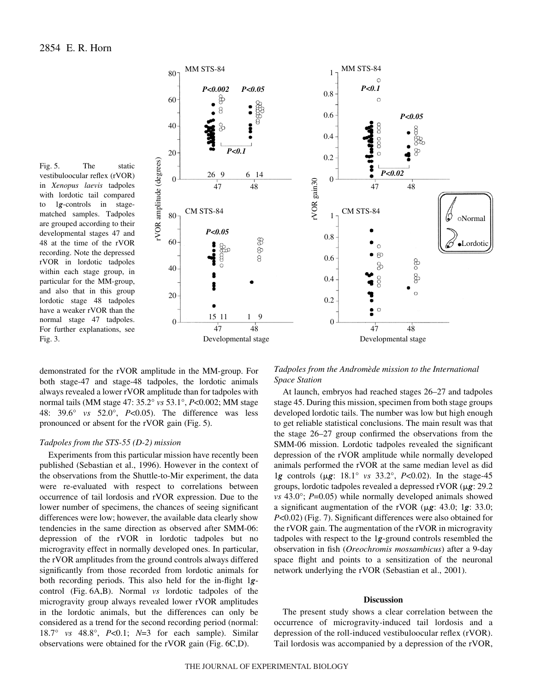Fig. 5. The static vestibuloocular reflex (rVOR) in *Xenopus laevis* tadpoles with lordotic tail compared to 1*g*-controls in stagematched samples. Tadpoles are grouped according to their developmental stages 47 and 48 at the time of the rVOR recording. Note the depressed rVOR in lordotic tadpoles within each stage group, in particular for the MM-group, and also that in this group lordotic stage 48 tadpoles have a weaker rVOR than the normal stage 47 tadpoles. For further explanations, see Fig.  $3$ .



demonstrated for the rVOR amplitude in the MM-group. For both stage-47 and stage-48 tadpoles, the lordotic animals always revealed a lower rVOR amplitude than for tadpoles with normal tails (MM stage 47: 35.2° *vs* 53.1°, *P*<0.002; MM stage 48: 39.6° *vs* 52.0°, *P*<0.05). The difference was less pronounced or absent for the rVOR gain (Fig. 5).

### *Tadpoles from the STS-55 (D-2) mission*

Experiments from this particular mission have recently been published (Sebastian et al., 1996). However in the context of the observations from the Shuttle-to-Mir experiment, the data were re-evaluated with respect to correlations between occurrence of tail lordosis and rVOR expression. Due to the lower number of specimens, the chances of seeing significant differences were low; however, the available data clearly show tendencies in the same direction as observed after SMM-06: depression of the rVOR in lordotic tadpoles but no microgravity effect in normally developed ones. In particular, the rVOR amplitudes from the ground controls always differed significantly from those recorded from lordotic animals for both recording periods. This also held for the in-flight 1*g*control (Fig. 6A,B). Normal *vs* lordotic tadpoles of the microgravity group always revealed lower rVOR amplitudes in the lordotic animals, but the differences can only be considered as a trend for the second recording period (normal: 18.7° *vs* 48.8°, *P*<0.1; *N*=3 for each sample). Similar observations were obtained for the rVOR gain (Fig. 6C,D).

*Tadpoles from the Andromède mission to the International Space Station*

At launch, embryos had reached stages 26–27 and tadpoles stage 45. During this mission, specimen from both stage groups developed lordotic tails. The number was low but high enough to get reliable statistical conclusions. The main result was that the stage 26–27 group confirmed the observations from the SMM-06 mission. Lordotic tadpoles revealed the significant depression of the rVOR amplitude while normally developed animals performed the rVOR at the same median level as did 1g controls ( $\mu$ g: 18.1° *vs* 33.2°, *P*<0.02). In the stage-45 groups, lordotic tadpoles revealed a depressed rVOR ( $\mu$ g: 29.2 *vs* 43.0°; *P*=0.05) while normally developed animals showed a significant augmentation of the rVOR ( $\mu$ g: 43.0; 1g: 33.0; *P*<0.02) (Fig. 7). Significant differences were also obtained for the rVOR gain. The augmentation of the rVOR in microgravity tadpoles with respect to the 1*g*-ground controls resembled the observation in fish (*Oreochromis mossambicus*) after a 9-day space flight and points to a sensitization of the neuronal network underlying the rVOR (Sebastian et al., 2001).

# **Discussion**

The present study shows a clear correlation between the occurrence of microgravity-induced tail lordosis and a depression of the roll-induced vestibuloocular reflex (rVOR). Tail lordosis was accompanied by a depression of the rVOR,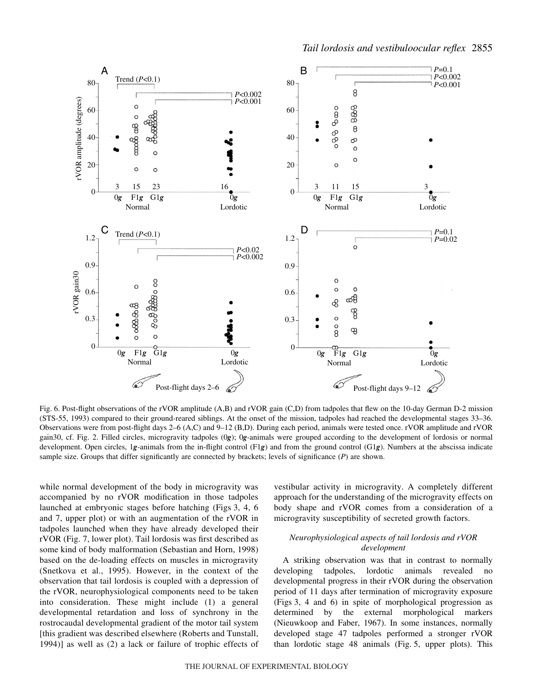

Fig. 6. Post-flight observations of the rVOR amplitude (A,B) and rVOR gain (C,D) from tadpoles that flew on the 10-day German D-2 mission (STS-55, 1993) compared to their ground-reared siblings. At the onset of the mission, tadpoles had reached the developmental stages 33–36. Observations were from post-flight days 2–6 (A,C) and 9–12 (B,D). During each period, animals were tested once. rVOR amplitude and rVOR gain30, cf. Fig. 2. Filled circles, microgravity tadpoles (0*g*); 0*g*-animals were grouped according to the development of lordosis or normal development. Open circles, 1*g*-animals from the in-flight control (F1*g*) and from the ground control (G1*g*). Numbers at the abscissa indicate sample size. Groups that differ significantly are connected by brackets; levels of significance (*P*) are shown.

while normal development of the body in microgravity was accompanied by no rVOR modification in those tadpoles launched at embryonic stages before hatching (Figs 3, 4, 6) and 7, upper plot) or with an augmentation of the rVOR in tadpoles launched when they have already developed their rVOR (Fig. 7, lower plot). Tail lordosis was first described as some kind of body malformation (Sebastian and Horn, 1998) based on the de-loading effects on muscles in microgravity (Snetkova et al., 1995). However, in the context of the observation that tail lordosis is coupled with a depression of the rVOR, neurophysiological components need to be taken into consideration. These might include (1) a general developmental retardation and loss of synchrony in the rostrocaudal developmental gradient of the motor tail system [this gradient was described elsewhere (Roberts and Tunstall, 1994)] as well as (2) a lack or failure of trophic effects of

vestibular activity in microgravity. A completely different approach for the understanding of the microgravity effects on body shape and rVOR comes from a consideration of a microgravity susceptibility of secreted growth factors.

# *Neurophysiological aspects of tail lordosis and rVOR development*

A striking observation was that in contrast to normally developing tadpoles, lordotic animals revealed no developmental progress in their rVOR during the observation period of 11 days after termination of microgravity exposure (Figs·3, 4 and 6) in spite of morphological progression as determined by the external morphological markers (Nieuwkoop and Faber, 1967). In some instances, normally developed stage 47 tadpoles performed a stronger rVOR than lordotic stage 48 animals (Fig. 5, upper plots). This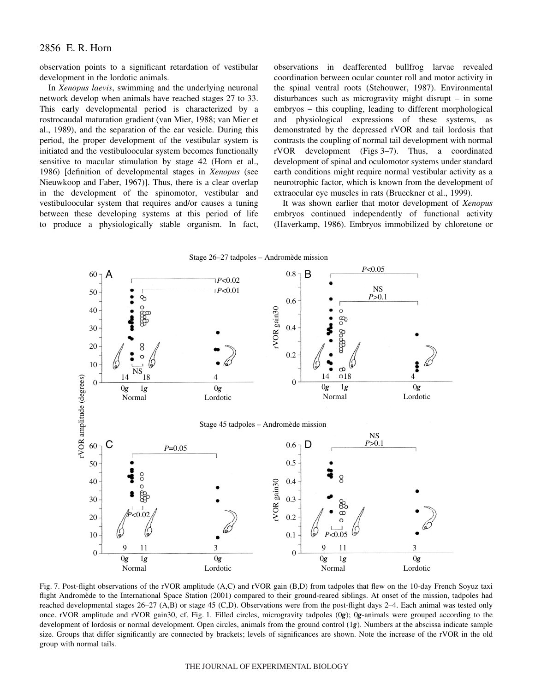# 2856 E. R. Horn

observation points to a significant retardation of vestibular development in the lordotic animals.

In *Xenopus laevis*, swimming and the underlying neuronal network develop when animals have reached stages 27 to 33. This early developmental period is characterized by a rostrocaudal maturation gradient (van Mier, 1988; van Mier et al., 1989), and the separation of the ear vesicle. During this period, the proper development of the vestibular system is initiated and the vestibuloocular system becomes functionally sensitive to macular stimulation by stage 42 (Horn et al., 1986) [definition of developmental stages in *Xenopus* (see Nieuwkoop and Faber, 1967)]. Thus, there is a clear overlap in the development of the spinomotor, vestibular and vestibuloocular system that requires and/or causes a tuning between these developing systems at this period of life to produce a physiologically stable organism. In fact,

observations in deafferented bullfrog larvae revealed coordination between ocular counter roll and motor activity in the spinal ventral roots (Stehouwer, 1987). Environmental disturbances such as microgravity might disrupt – in some embryos – this coupling, leading to different morphological and physiological expressions of these systems, as demonstrated by the depressed rVOR and tail lordosis that contrasts the coupling of normal tail development with normal rVOR development (Figs 3-7). Thus, a coordinated development of spinal and oculomotor systems under standard earth conditions might require normal vestibular activity as a neurotrophic factor, which is known from the development of extraocular eye muscles in rats (Brueckner et al., 1999).

It was shown earlier that motor development of *Xenopus* embryos continued independently of functional activity (Haverkamp, 1986). Embryos immobilized by chloretone or



Fig. 7. Post-flight observations of the rVOR amplitude (A,C) and rVOR gain (B,D) from tadpoles that flew on the 10-day French Soyuz taxi flight Andromède to the International Space Station (2001) compared to their ground-reared siblings. At onset of the mission, tadpoles had reached developmental stages 26–27 (A,B) or stage 45 (C,D). Observations were from the post-flight days 2–4. Each animal was tested only once. rVOR amplitude and rVOR gain30, cf. Fig. 1. Filled circles, microgravity tadpoles (0g); 0g-animals were grouped according to the development of lordosis or normal development. Open circles, animals from the ground control (1*g*). Numbers at the abscissa indicate sample size. Groups that differ significantly are connected by brackets; levels of significances are shown. Note the increase of the rVOR in the old group with normal tails.

#### THE JOURNAL OF EXPERIMENTAL BIOLOGY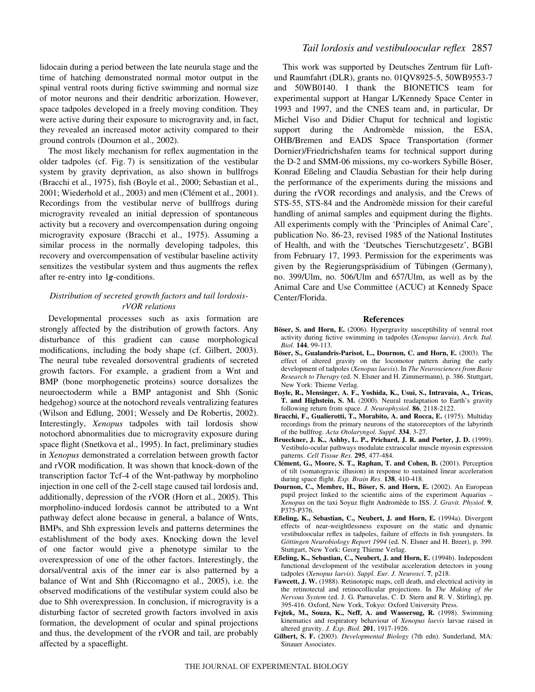lidocain during a period between the late neurula stage and the time of hatching demonstrated normal motor output in the spinal ventral roots during fictive swimming and normal size of motor neurons and their dendritic arborization. However, space tadpoles developed in a freely moving condition. They were active during their exposure to microgravity and, in fact, they revealed an increased motor activity compared to their ground controls (Dournon et al., 2002).

The most likely mechanism for reflex augmentation in the older tadpoles (cf. Fig. 7) is sensitization of the vestibular system by gravity deprivation, as also shown in bullfrogs (Bracchi et al., 1975), fish (Boyle et al., 2000; Sebastian et al., 2001; Wiederhold et al., 2003) and men (Clément et al., 2001). Recordings from the vestibular nerve of bullfrogs during microgravity revealed an initial depression of spontaneous activity but a recovery and overcompensation during ongoing microgravity exposure (Bracchi et al., 1975). Assuming a similar process in the normally developing tadpoles, this recovery and overcompensation of vestibular baseline activity sensitizes the vestibular system and thus augments the reflex after re-entry into 1*g*-conditions.

# *Distribution of secreted growth factors and tail lordosisrVOR relations*

Developmental processes such as axis formation are strongly affected by the distribution of growth factors. Any disturbance of this gradient can cause morphological modifications, including the body shape (cf. Gilbert, 2003). The neural tube revealed dorsoventral gradients of secreted growth factors. For example, a gradient from a Wnt and BMP (bone morphogenetic proteins) source dorsalizes the neuroectoderm while a BMP antagonist and Shh (Sonic hedgehog) source at the notochord reveals ventralizing features (Wilson and Edlung, 2001; Wessely and De Robertis, 2002). Interestingly, *Xenopus* tadpoles with tail lordosis show notochord abnormalities due to microgravity exposure during space flight (Snetkova et al., 1995). In fact, preliminary studies in *Xenopus* demonstrated a correlation between growth factor and rVOR modification. It was shown that knock-down of the transcription factor Tcf-4 of the Wnt-pathway by morpholino injection in one cell of the 2-cell stage caused tail lordosis and, additionally, depression of the rVOR (Horn et al., 2005). This morpholino-induced lordosis cannot be attributed to a Wnt pathway defect alone because in general, a balance of Wnts, BMPs, and Shh expression levels and patterns determines the establishment of the body axes. Knocking down the level of one factor would give a phenotype similar to the overexpression of one of the other factors. Interestingly, the dorsal/ventral axis of the inner ear is also patterned by a balance of Wnt and Shh (Riccomagno et al., 2005), i.e. the observed modifications of the vestibular system could also be due to Shh overexpression. In conclusion, if microgravity is a disturbing factor of secreted growth factors involved in axis formation, the development of ocular and spinal projections and thus, the development of the rVOR and tail, are probably affected by a spaceflight.

# *Tail lordosis and vestibuloocular reflex* 2857

This work was supported by Deutsches Zentrum für Luftund Raumfahrt (DLR), grants no. 01QV8925-5, 50WB9553-7 and 50WB0140. I thank the BIONETICS team for experimental support at Hangar L/Kennedy Space Center in 1993 and 1997, and the CNES team and, in particular, Dr Michel Viso and Didier Chaput for technical and logistic support during the Andromède mission, the ESA, OHB/Bremen and EADS Space Transportation (former Dornier)/Friedrichshafen teams for technical support during the D-2 and SMM-06 missions, my co-workers Sybille Böser, Konrad Eßeling and Claudia Sebastian for their help during the performance of the experiments during the missions and during the rVOR recordings and analysis, and the Crews of STS-55, STS-84 and the Andromède mission for their careful handling of animal samples and equipment during the flights. All experiments comply with the 'Principles of Animal Care', publication No. 86-23, revised 1985 of the National Institutes of Health, and with the 'Deutsches Tierschutzgesetz', BGBl from February 17, 1993. Permission for the experiments was given by the Regierungspräsidium of Tübingen (Germany), no. 399/Ulm, no. 506/Ulm and 657/Ulm, as well as by the Animal Care and Use Committee (ACUC) at Kennedy Space Center/Florida.

#### **References**

- **Böser, S. and Horn, E.** (2006). Hypergravity susceptibility of ventral root activity during fictive swimming in tadpoles (*Xenopus laevis*). *Arch. Ital. Biol*. **144**, 99-113.
- **Böser, S., Gualandris-Parisot, L., Dournon, C. and Horn, E.** (2003). The effect of altered gravity on the locomotor pattern during the early development of tadpoles (*Xenopus laevis*). In *The Neurosciences from Basic Research to Therapy* (ed. N. Elsner and H. Zimmermann), p. 386. Stuttgart, New York: Thieme Verlag.
- **Boyle, R., Mensinger, A. F., Yoshida, K., Usui, S., Intravaia, A., Tricas, T. and Highstein, S. M.** (2000). Neural readaptation to Earth's gravity following return from space. *J. Neurophysiol.* **86**, 2118-2122.
- **Bracchi, F., Gualierotti, T., Morabito, A. and Rocca, E.** (1975). Multiday recordings from the primary neurons of the statoreceptors of the labyrinth of the bullfrog. *Acta Otolaryngol. Suppl.* **334**, 3-27.
- **Brueckner, J. K., Ashby, L. P., Prichard, J. R. and Porter, J. D.** (1999). Vestibulo-ocular pathways modulate extraocular muscle myosin expression patterns. *Cell Tissue Res*. **295**, 477-484.
- **Clément, G., Moore, S. T., Raphan, T. and Cohen, B.** (2001). Perception of tilt (somatogravic illusion) in response to sustained linear acceleration during space flight. *Exp. Brain Res*. **138**, 410-418.
- **Dournon, C., Membre, H., Böser, S. and Horn, E.** (2002). An European pupil project linked to the scientific aims of the experiment Aquarius – *Xenopus* on the taxi Soyuz flight Andromède to ISS. *J. Gravit. Physiol*. **9**, P375-P376.
- **Eßeling, K., Sebastian, C., Neubert, J. and Horn, E.** (1994a). Divergent effects of near-weightlessness exposure on the static and dynamic vestibuloocular reflex in tadpoles, failure of effects in fish youngsters. In *Göttingen Neurobiology Report 1994* (ed. N. Elsner and H. Breer), p. 399. Stuttgart, New York: Georg Thieme Verlag.
- **Eßeling, K., Sebastian, C., Neubert, J. and Horn, E.** (1994b). Independent functional development of the vestibular acceleration detectors in young tadpoles (*Xenopus laevis*). *Suppl. Eur. J. Neurosci*. **7**, p218.
- **Fawcett, J. W.** (1988). Retinotopic maps, cell death, and electrical activity in the retinotectal and retinocollicular projections. In *The Making of the Nervous System* (ed. J. G. Parnavelas, C. D. Stern and R. V. Stirling), pp. 395-416. Oxford, New York, Tokyo: Oxford University Press.
- **Fejtek, M., Souza, K., Neff, A. and Wassersug, R.** (1998). Swimming kinematics and respiratory behaviour of *Xenopus laevis* larvae raised in altered gravity. *J. Exp. Biol.* **201**, 1917-1926.
- **Gilbert, S. F.** (2003). *Developmental Biology* (7th edn). Sunderland, MA: Sinauer Associates.